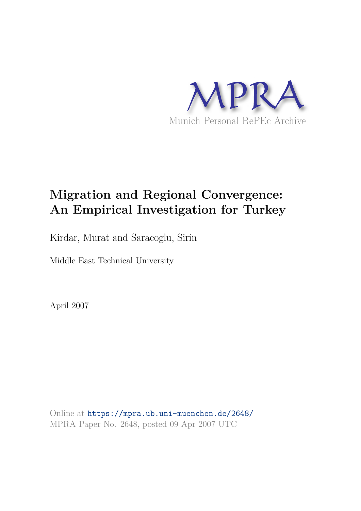

# **Migration and Regional Convergence: An Empirical Investigation for Turkey**

Kirdar, Murat and Saracoglu, Sirin

Middle East Technical University

April 2007

Online at https://mpra.ub.uni-muenchen.de/2648/ MPRA Paper No. 2648, posted 09 Apr 2007 UTC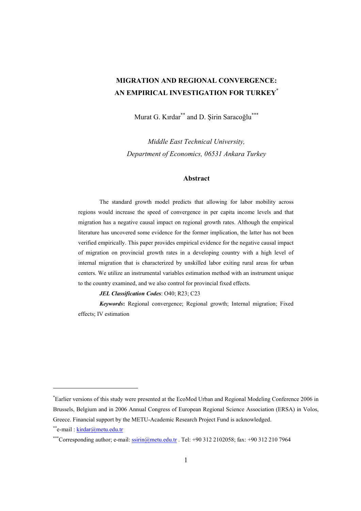### **MIGRATION AND REGIONAL CONVERGENCE: AN EMPIRICAL INVESTIGATION FOR TURKEY\***

Murat G. Kırdar\*\* and D. Şirin Saracoğlu\*\*\*

*Middle East Technical University, Department of Economics, 06531 Ankara Turkey* 

#### **Abstract**

The standard growth model predicts that allowing for labor mobility across regions would increase the speed of convergence in per capita income levels and that migration has a negative causal impact on regional growth rates. Although the empirical literature has uncovered some evidence for the former implication, the latter has not been verified empirically. This paper provides empirical evidence for the negative causal impact of migration on provincial growth rates in a developing country with a high level of internal migration that is characterized by unskilled labor exiting rural areas for urban centers. We utilize an instrumental variables estimation method with an instrument unique to the country examined, and we also control for provincial fixed effects.

*JEL Classification Codes*: O40; R23; C23

*Keywords***:** Regional convergence; Regional growth; Internal migration; Fixed effects; IV estimation

<sup>\*</sup>Earlier versions of this study were presented at the EcoMod Urban and Regional Modeling Conference 2006 in Brussels, Belgium and in 2006 Annual Congress of European Regional Science Association (ERSA) in Volos, Greece. Financial support by the METU-Academic Research Project Fund is acknowledged.

<sup>\*\*</sup>e-mail : kirdar@metu.edu.tr

<sup>\*\*\*</sup>Corresponding author; e-mail: ssirin@metu.edu.tr . Tel: +90 312 2102058; fax: +90 312 210 7964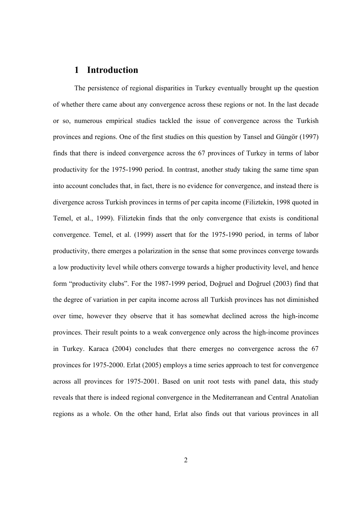### **1 Introduction**

The persistence of regional disparities in Turkey eventually brought up the question of whether there came about any convergence across these regions or not. In the last decade or so, numerous empirical studies tackled the issue of convergence across the Turkish provinces and regions. One of the first studies on this question by Tansel and Güngör (1997) finds that there is indeed convergence across the 67 provinces of Turkey in terms of labor productivity for the 1975-1990 period. In contrast, another study taking the same time span into account concludes that, in fact, there is no evidence for convergence, and instead there is divergence across Turkish provinces in terms of per capita income (Filiztekin, 1998 quoted in Temel, et al., 1999). Filiztekin finds that the only convergence that exists is conditional convergence. Temel, et al. (1999) assert that for the 1975-1990 period, in terms of labor productivity, there emerges a polarization in the sense that some provinces converge towards a low productivity level while others converge towards a higher productivity level, and hence form "productivity clubs". For the 1987-1999 period, Doğruel and Doğruel (2003) find that the degree of variation in per capita income across all Turkish provinces has not diminished over time, however they observe that it has somewhat declined across the high-income provinces. Their result points to a weak convergence only across the high-income provinces in Turkey. Karaca (2004) concludes that there emerges no convergence across the 67 provinces for 1975-2000. Erlat (2005) employs a time series approach to test for convergence across all provinces for 1975-2001. Based on unit root tests with panel data, this study reveals that there is indeed regional convergence in the Mediterranean and Central Anatolian regions as a whole. On the other hand, Erlat also finds out that various provinces in all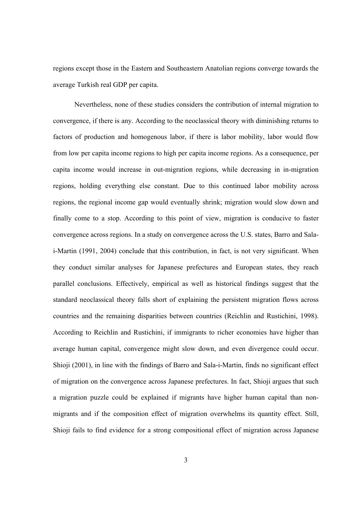regions except those in the Eastern and Southeastern Anatolian regions converge towards the average Turkish real GDP per capita.

Nevertheless, none of these studies considers the contribution of internal migration to convergence, if there is any. According to the neoclassical theory with diminishing returns to factors of production and homogenous labor, if there is labor mobility, labor would flow from low per capita income regions to high per capita income regions. As a consequence, per capita income would increase in out-migration regions, while decreasing in in-migration regions, holding everything else constant. Due to this continued labor mobility across regions, the regional income gap would eventually shrink; migration would slow down and finally come to a stop. According to this point of view, migration is conducive to faster convergence across regions. In a study on convergence across the U.S. states, Barro and Salai-Martin (1991, 2004) conclude that this contribution, in fact, is not very significant. When they conduct similar analyses for Japanese prefectures and European states, they reach parallel conclusions. Effectively, empirical as well as historical findings suggest that the standard neoclassical theory falls short of explaining the persistent migration flows across countries and the remaining disparities between countries (Reichlin and Rustichini, 1998). According to Reichlin and Rustichini, if immigrants to richer economies have higher than average human capital, convergence might slow down, and even divergence could occur. Shioji (2001), in line with the findings of Barro and Sala-i-Martin, finds no significant effect of migration on the convergence across Japanese prefectures. In fact, Shioji argues that such a migration puzzle could be explained if migrants have higher human capital than nonmigrants and if the composition effect of migration overwhelms its quantity effect. Still, Shioji fails to find evidence for a strong compositional effect of migration across Japanese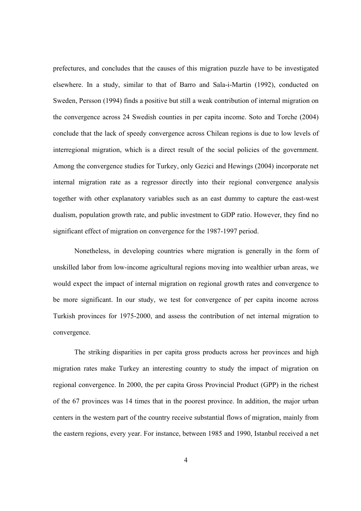prefectures, and concludes that the causes of this migration puzzle have to be investigated elsewhere. In a study, similar to that of Barro and Sala-i-Martin (1992), conducted on Sweden, Persson (1994) finds a positive but still a weak contribution of internal migration on the convergence across 24 Swedish counties in per capita income. Soto and Torche (2004) conclude that the lack of speedy convergence across Chilean regions is due to low levels of interregional migration, which is a direct result of the social policies of the government. Among the convergence studies for Turkey, only Gezici and Hewings (2004) incorporate net internal migration rate as a regressor directly into their regional convergence analysis together with other explanatory variables such as an east dummy to capture the east-west dualism, population growth rate, and public investment to GDP ratio. However, they find no significant effect of migration on convergence for the 1987-1997 period.

Nonetheless, in developing countries where migration is generally in the form of unskilled labor from low-income agricultural regions moving into wealthier urban areas, we would expect the impact of internal migration on regional growth rates and convergence to be more significant. In our study, we test for convergence of per capita income across Turkish provinces for 1975-2000, and assess the contribution of net internal migration to convergence.

The striking disparities in per capita gross products across her provinces and high migration rates make Turkey an interesting country to study the impact of migration on regional convergence. In 2000, the per capita Gross Provincial Product (GPP) in the richest of the 67 provinces was 14 times that in the poorest province. In addition, the major urban centers in the western part of the country receive substantial flows of migration, mainly from the eastern regions, every year. For instance, between 1985 and 1990, Istanbul received a net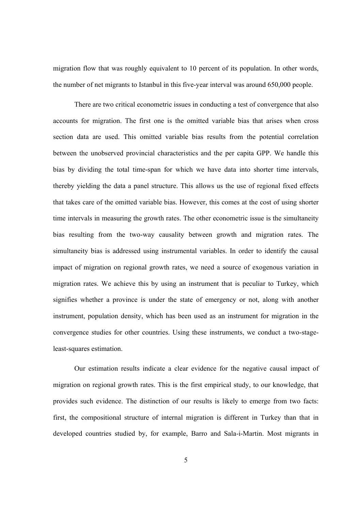migration flow that was roughly equivalent to 10 percent of its population. In other words, the number of net migrants to Istanbul in this five-year interval was around 650,000 people.

There are two critical econometric issues in conducting a test of convergence that also accounts for migration. The first one is the omitted variable bias that arises when cross section data are used. This omitted variable bias results from the potential correlation between the unobserved provincial characteristics and the per capita GPP. We handle this bias by dividing the total time-span for which we have data into shorter time intervals, thereby yielding the data a panel structure. This allows us the use of regional fixed effects that takes care of the omitted variable bias. However, this comes at the cost of using shorter time intervals in measuring the growth rates. The other econometric issue is the simultaneity bias resulting from the two-way causality between growth and migration rates. The simultaneity bias is addressed using instrumental variables. In order to identify the causal impact of migration on regional growth rates, we need a source of exogenous variation in migration rates. We achieve this by using an instrument that is peculiar to Turkey, which signifies whether a province is under the state of emergency or not, along with another instrument, population density, which has been used as an instrument for migration in the convergence studies for other countries. Using these instruments, we conduct a two-stageleast-squares estimation.

Our estimation results indicate a clear evidence for the negative causal impact of migration on regional growth rates. This is the first empirical study, to our knowledge, that provides such evidence. The distinction of our results is likely to emerge from two facts: first, the compositional structure of internal migration is different in Turkey than that in developed countries studied by, for example, Barro and Sala-i-Martin. Most migrants in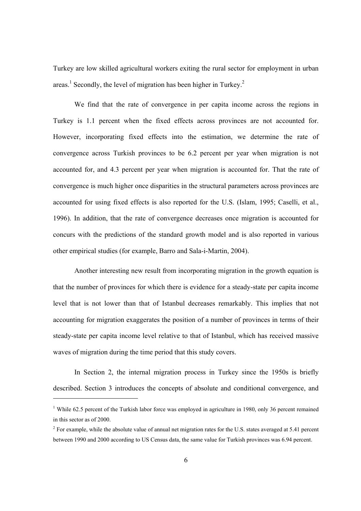Turkey are low skilled agricultural workers exiting the rural sector for employment in urban areas.<sup>1</sup> Secondly, the level of migration has been higher in Turkey.<sup>2</sup>

We find that the rate of convergence in per capita income across the regions in Turkey is 1.1 percent when the fixed effects across provinces are not accounted for. However, incorporating fixed effects into the estimation, we determine the rate of convergence across Turkish provinces to be 6.2 percent per year when migration is not accounted for, and 4.3 percent per year when migration is accounted for. That the rate of convergence is much higher once disparities in the structural parameters across provinces are accounted for using fixed effects is also reported for the U.S. (Islam, 1995; Caselli, et al., 1996). In addition, that the rate of convergence decreases once migration is accounted for concurs with the predictions of the standard growth model and is also reported in various other empirical studies (for example, Barro and Sala-i-Martin, 2004).

Another interesting new result from incorporating migration in the growth equation is that the number of provinces for which there is evidence for a steady-state per capita income level that is not lower than that of Istanbul decreases remarkably. This implies that not accounting for migration exaggerates the position of a number of provinces in terms of their steady-state per capita income level relative to that of Istanbul, which has received massive waves of migration during the time period that this study covers.

In Section 2, the internal migration process in Turkey since the 1950s is briefly described. Section 3 introduces the concepts of absolute and conditional convergence, and

<sup>&</sup>lt;sup>1</sup> While 62.5 percent of the Turkish labor force was employed in agriculture in 1980, only 36 percent remained in this sector as of 2000.

 $2^2$  For example, while the absolute value of annual net migration rates for the U.S. states averaged at 5.41 percent between 1990 and 2000 according to US Census data, the same value for Turkish provinces was 6.94 percent.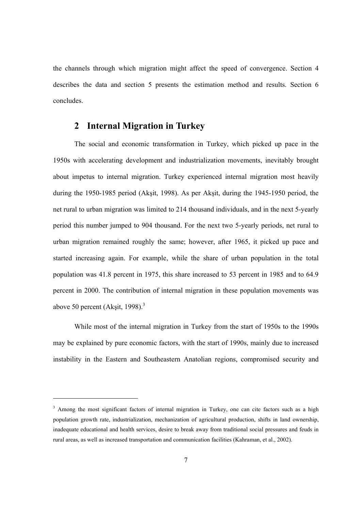the channels through which migration might affect the speed of convergence. Section 4 describes the data and section 5 presents the estimation method and results. Section 6 concludes.

# **2 Internal Migration in Turkey**

The social and economic transformation in Turkey, which picked up pace in the 1950s with accelerating development and industrialization movements, inevitably brought about impetus to internal migration. Turkey experienced internal migration most heavily during the 1950-1985 period (Akşit, 1998). As per Akşit, during the 1945-1950 period, the net rural to urban migration was limited to 214 thousand individuals, and in the next 5-yearly period this number jumped to 904 thousand. For the next two 5-yearly periods, net rural to urban migration remained roughly the same; however, after 1965, it picked up pace and started increasing again. For example, while the share of urban population in the total population was 41.8 percent in 1975, this share increased to 53 percent in 1985 and to 64.9 percent in 2000. The contribution of internal migration in these population movements was above 50 percent (Akşit, 1998). $3$ 

While most of the internal migration in Turkey from the start of 1950s to the 1990s may be explained by pure economic factors, with the start of 1990s, mainly due to increased instability in the Eastern and Southeastern Anatolian regions, compromised security and

<sup>&</sup>lt;sup>3</sup> Among the most significant factors of internal migration in Turkey, one can cite factors such as a high population growth rate, industrialization, mechanization of agricultural production, shifts in land ownership, inadequate educational and health services, desire to break away from traditional social pressures and feuds in rural areas, as well as increased transportation and communication facilities (Kahraman, et al., 2002).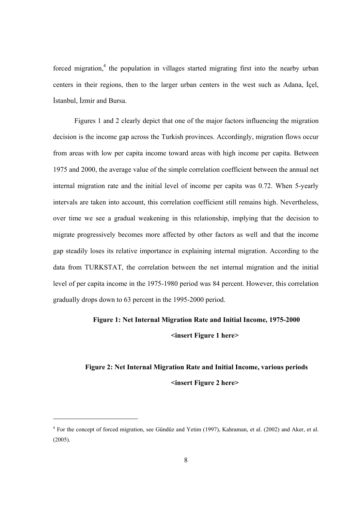forced migration,<sup>4</sup> the population in villages started migrating first into the nearby urban centers in their regions, then to the larger urban centers in the west such as Adana, İçel, İstanbul, İzmir and Bursa.

Figures 1 and 2 clearly depict that one of the major factors influencing the migration decision is the income gap across the Turkish provinces. Accordingly, migration flows occur from areas with low per capita income toward areas with high income per capita. Between 1975 and 2000, the average value of the simple correlation coefficient between the annual net internal migration rate and the initial level of income per capita was 0.72. When 5-yearly intervals are taken into account, this correlation coefficient still remains high. Nevertheless, over time we see a gradual weakening in this relationship, implying that the decision to migrate progressively becomes more affected by other factors as well and that the income gap steadily loses its relative importance in explaining internal migration. According to the data from TURKSTAT, the correlation between the net internal migration and the initial level of per capita income in the 1975-1980 period was 84 percent. However, this correlation gradually drops down to 63 percent in the 1995-2000 period.

# **Figure 1: Net Internal Migration Rate and Initial Income, 1975-2000**

**<insert Figure 1 here>** 

# **Figure 2: Net Internal Migration Rate and Initial Income, various periods <insert Figure 2 here>**

<sup>&</sup>lt;sup>4</sup> For the concept of forced migration, see Gündüz and Yetim (1997), Kahraman, et al. (2002) and Aker, et al. (2005).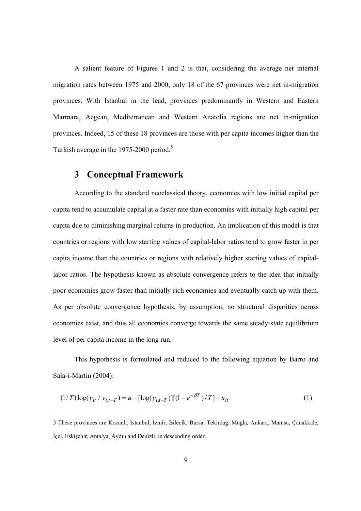A salient feature of Figures 1 and 2 is that, considering the average net internal migration rates between 1975 and 2000, only 18 of the 67 provinces were net in-migration provinces. With Istanbul in the lead, provinces predominantly in Western and Eastern Marmara, Aegean, Mediterranean and Western Anatolia regions are net in-migration provinces. Indeed, 15 of these 18 provinces are those with per capita incomes higher than the Turkish average in the 1975-2000 period.<sup>5</sup>

### **3 Conceptual Framework**

l

According to the standard neoclassical theory, economies with low initial capital per capita tend to accumulate capital at a faster rate than economies with initially high capital per capita due to diminishing marginal returns in production. An implication of this model is that countries or regions with low starting values of capital-labor ratios tend to grow faster in per capita income than the countries or regions with relatively higher starting values of capitallabor ratios. The hypothesis known as absolute convergence refers to the idea that initially poor economies grow faster than initially rich economies and eventually catch up with them. As per absolute convergence hypothesis, by assumption, no structural disparities across economies exist, and thus all economies converge towards the same steady-state equilibrium level of per capita income in the long run.

This hypothesis is formulated and reduced to the following equation by Barro and Sala-i-Martin (2004):

$$
(1/T) \log(y_{it} / y_{i,t-T}) = a - [\log(y_{i,t-T})] [(1 - e^{-\beta T})/T] + u_{it}
$$
\n(1)

<sup>5</sup> These provinces are Kocaeli, Istanbul, İzmir, Bilecik, Bursa, Tekirdağ, Muğla, Ankara, Manisa, Çanakkale, İçel, Eskişehir, Antalya, Aydın and Denizli, in descending order.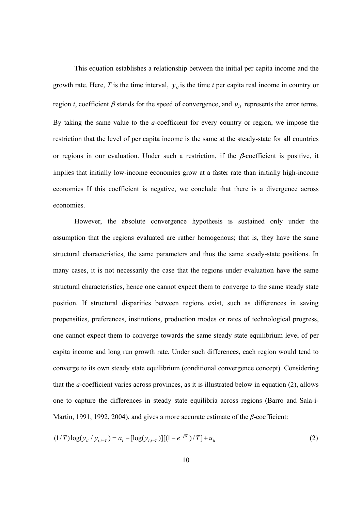This equation establishes a relationship between the initial per capita income and the growth rate. Here, *T* is the time interval,  $y_{it}$  is the time *t* per capita real income in country or region *i*, coefficient  $\beta$  stands for the speed of convergence, and  $u_{it}$  represents the error terms. By taking the same value to the *a*-coefficient for every country or region, we impose the restriction that the level of per capita income is the same at the steady-state for all countries or regions in our evaluation. Under such a restriction, if the  $\beta$ -coefficient is positive, it implies that initially low-income economies grow at a faster rate than initially high-income economies If this coefficient is negative, we conclude that there is a divergence across economies.

However, the absolute convergence hypothesis is sustained only under the assumption that the regions evaluated are rather homogenous; that is, they have the same structural characteristics, the same parameters and thus the same steady-state positions. In many cases, it is not necessarily the case that the regions under evaluation have the same structural characteristics, hence one cannot expect them to converge to the same steady state position. If structural disparities between regions exist, such as differences in saving propensities, preferences, institutions, production modes or rates of technological progress, one cannot expect them to converge towards the same steady state equilibrium level of per capita income and long run growth rate. Under such differences, each region would tend to converge to its own steady state equilibrium (conditional convergence concept). Considering that the *a*-coefficient varies across provinces, as it is illustrated below in equation (2), allows one to capture the differences in steady state equilibria across regions (Barro and Sala-i-Martin, 1991, 1992, 2004), and gives a more accurate estimate of the *β*-coefficient:

$$
(1/T) \log(y_{it} / y_{i,t-T}) = a_i - [\log(y_{i,t-T})] [(1 - e^{-\beta T})/T] + u_{it}
$$
\n(2)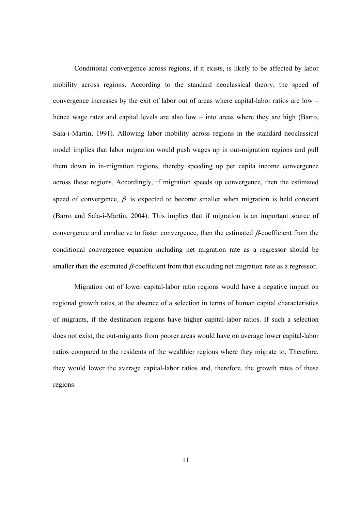Conditional convergence across regions, if it exists, is likely to be affected by labor mobility across regions. According to the standard neoclassical theory, the speed of convergence increases by the exit of labor out of areas where capital-labor ratios are low – hence wage rates and capital levels are also low – into areas where they are high (Barro, Sala-i-Martin, 1991). Allowing labor mobility across regions in the standard neoclassical model implies that labor migration would push wages up in out-migration regions and pull them down in in-migration regions, thereby speeding up per capita income convergence across these regions. Accordingly, if migration speeds up convergence, then the estimated speed of convergence, β*,* is expected to become smaller when migration is held constant (Barro and Sala-i-Martin, 2004). This implies that if migration is an important source of convergence and conducive to faster convergence, then the estimated  $\beta$ -coefficient from the conditional convergence equation including net migration rate as a regressor should be smaller than the estimated  $\beta$ -coefficient from that excluding net migration rate as a regressor.

Migration out of lower capital-labor ratio regions would have a negative impact on regional growth rates, at the absence of a selection in terms of human capital characteristics of migrants, if the destination regions have higher capital-labor ratios. If such a selection does not exist, the out-migrants from poorer areas would have on average lower capital-labor ratios compared to the residents of the wealthier regions where they migrate to. Therefore, they would lower the average capital-labor ratios and, therefore, the growth rates of these regions.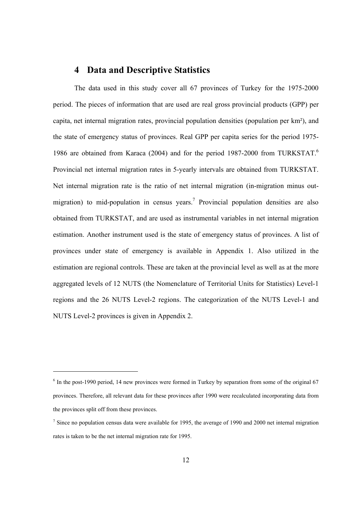### **4 Data and Descriptive Statistics**

The data used in this study cover all 67 provinces of Turkey for the 1975-2000 period. The pieces of information that are used are real gross provincial products (GPP) per capita, net internal migration rates, provincial population densities (population per km²), and the state of emergency status of provinces. Real GPP per capita series for the period 1975- 1986 are obtained from Karaca (2004) and for the period 1987-2000 from TURKSTAT.<sup>6</sup> Provincial net internal migration rates in 5-yearly intervals are obtained from TURKSTAT. Net internal migration rate is the ratio of net internal migration (in-migration minus outmigration) to mid-population in census years.<sup>7</sup> Provincial population densities are also obtained from TURKSTAT, and are used as instrumental variables in net internal migration estimation. Another instrument used is the state of emergency status of provinces. A list of provinces under state of emergency is available in Appendix 1. Also utilized in the estimation are regional controls. These are taken at the provincial level as well as at the more aggregated levels of 12 NUTS (the Nomenclature of Territorial Units for Statistics) Level-1 regions and the 26 NUTS Level-2 regions. The categorization of the NUTS Level-1 and NUTS Level-2 provinces is given in Appendix 2.

<sup>&</sup>lt;sup>6</sup> In the post-1990 period, 14 new provinces were formed in Turkey by separation from some of the original 67 provinces. Therefore, all relevant data for these provinces after 1990 were recalculated incorporating data from the provinces split off from these provinces.

 $<sup>7</sup>$  Since no population census data were available for 1995, the average of 1990 and 2000 net internal migration</sup> rates is taken to be the net internal migration rate for 1995.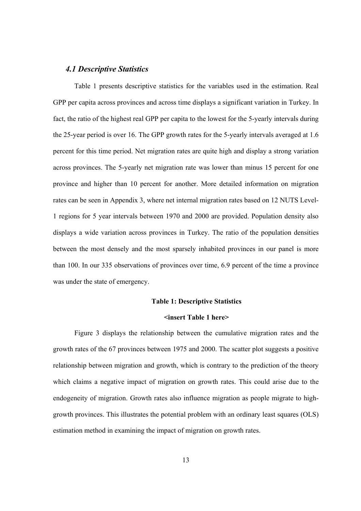#### *4.1 Descriptive Statistics*

Table 1 presents descriptive statistics for the variables used in the estimation. Real GPP per capita across provinces and across time displays a significant variation in Turkey. In fact, the ratio of the highest real GPP per capita to the lowest for the 5-yearly intervals during the 25-year period is over 16. The GPP growth rates for the 5-yearly intervals averaged at 1.6 percent for this time period. Net migration rates are quite high and display a strong variation across provinces. The 5-yearly net migration rate was lower than minus 15 percent for one province and higher than 10 percent for another. More detailed information on migration rates can be seen in Appendix 3, where net internal migration rates based on 12 NUTS Level-1 regions for 5 year intervals between 1970 and 2000 are provided. Population density also displays a wide variation across provinces in Turkey. The ratio of the population densities between the most densely and the most sparsely inhabited provinces in our panel is more than 100. In our 335 observations of provinces over time, 6.9 percent of the time a province was under the state of emergency.

#### **Table 1: Descriptive Statistics**

#### **<insert Table 1 here>**

Figure 3 displays the relationship between the cumulative migration rates and the growth rates of the 67 provinces between 1975 and 2000. The scatter plot suggests a positive relationship between migration and growth, which is contrary to the prediction of the theory which claims a negative impact of migration on growth rates. This could arise due to the endogeneity of migration. Growth rates also influence migration as people migrate to highgrowth provinces. This illustrates the potential problem with an ordinary least squares (OLS) estimation method in examining the impact of migration on growth rates.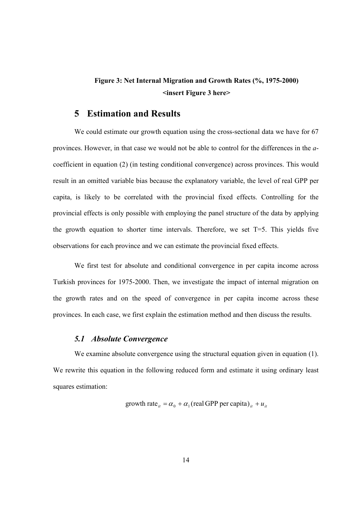# **Figure 3: Net Internal Migration and Growth Rates (%, 1975-2000) <insert Figure 3 here>**

### **5 Estimation and Results**

We could estimate our growth equation using the cross-sectional data we have for 67 provinces. However, in that case we would not be able to control for the differences in the *a*coefficient in equation (2) (in testing conditional convergence) across provinces. This would result in an omitted variable bias because the explanatory variable, the level of real GPP per capita, is likely to be correlated with the provincial fixed effects. Controlling for the provincial effects is only possible with employing the panel structure of the data by applying the growth equation to shorter time intervals. Therefore, we set T=5. This yields five observations for each province and we can estimate the provincial fixed effects.

We first test for absolute and conditional convergence in per capita income across Turkish provinces for 1975-2000. Then, we investigate the impact of internal migration on the growth rates and on the speed of convergence in per capita income across these provinces. In each case, we first explain the estimation method and then discuss the results.

#### *5.1 Absolute Convergence*

We examine absolute convergence using the structural equation given in equation (1). We rewrite this equation in the following reduced form and estimate it using ordinary least squares estimation:

growth rate<sub>*it*</sub> = 
$$
\alpha_0 + \alpha_1
$$
 (real GPP per capita)<sub>*it*</sub> +  $u_{it}$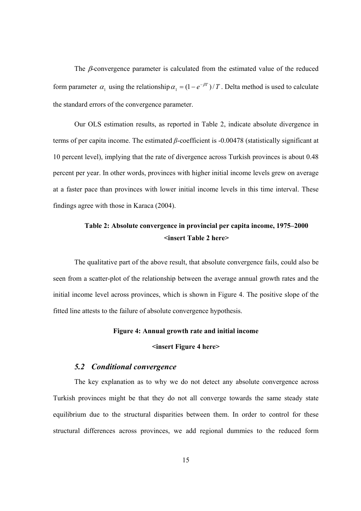The  $\beta$ -convergence parameter is calculated from the estimated value of the reduced form parameter  $\alpha_1$  using the relationship  $\alpha_1 = (1 - e^{-\beta T})/T$ . Delta method is used to calculate the standard errors of the convergence parameter.

Our OLS estimation results, as reported in Table 2, indicate absolute divergence in terms of per capita income. The estimated *β*-coefficient is -0.00478 (statistically significant at 10 percent level), implying that the rate of divergence across Turkish provinces is about 0.48 percent per year. In other words, provinces with higher initial income levels grew on average at a faster pace than provinces with lower initial income levels in this time interval. These findings agree with those in Karaca (2004).

## **Table 2: Absolute convergence in provincial per capita income, 1975–2000 <insert Table 2 here>**

The qualitative part of the above result, that absolute convergence fails, could also be seen from a scatter-plot of the relationship between the average annual growth rates and the initial income level across provinces, which is shown in Figure 4. The positive slope of the fitted line attests to the failure of absolute convergence hypothesis.

#### **Figure 4: Annual growth rate and initial income**

#### **<insert Figure 4 here>**

#### *5.2 Conditional convergence*

The key explanation as to why we do not detect any absolute convergence across Turkish provinces might be that they do not all converge towards the same steady state equilibrium due to the structural disparities between them. In order to control for these structural differences across provinces, we add regional dummies to the reduced form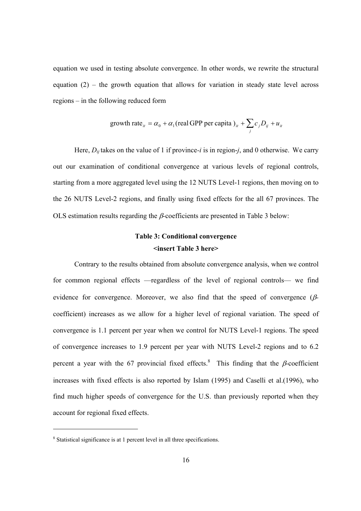equation we used in testing absolute convergence. In other words, we rewrite the structural equation  $(2)$  – the growth equation that allows for variation in steady state level across regions – in the following reduced form

growth rate<sub>it</sub> = 
$$
\alpha_0 + \alpha_1
$$
 (real GPP per capita) <sub>it</sub> +  $\sum_j c_j D_{ij} + u_{it}$ 

Here,  $D_{ij}$  takes on the value of 1 if province-*i* is in region-*j*, and 0 otherwise. We carry out our examination of conditional convergence at various levels of regional controls, starting from a more aggregated level using the 12 NUTS Level-1 regions, then moving on to the 26 NUTS Level-2 regions, and finally using fixed effects for the all 67 provinces. The OLS estimation results regarding the β*-*coefficients are presented in Table 3 below:

# **Table 3: Conditional convergence <insert Table 3 here>**

Contrary to the results obtained from absolute convergence analysis, when we control for common regional effects —regardless of the level of regional controls— we find evidence for convergence. Moreover, we also find that the speed of convergence (βcoefficient) increases as we allow for a higher level of regional variation. The speed of convergence is 1.1 percent per year when we control for NUTS Level-1 regions. The speed of convergence increases to 1.9 percent per year with NUTS Level-2 regions and to 6.2 percent a year with the 67 provincial fixed effects.<sup>8</sup> This finding that the  $\beta$ -coefficient increases with fixed effects is also reported by Islam (1995) and Caselli et al.(1996), who find much higher speeds of convergence for the U.S. than previously reported when they account for regional fixed effects.

<sup>&</sup>lt;sup>8</sup> Statistical significance is at 1 percent level in all three specifications.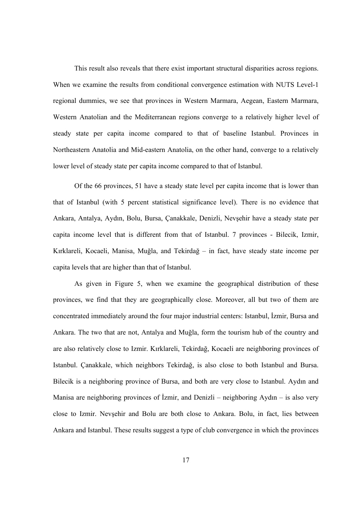This result also reveals that there exist important structural disparities across regions. When we examine the results from conditional convergence estimation with NUTS Level-1 regional dummies, we see that provinces in Western Marmara, Aegean, Eastern Marmara, Western Anatolian and the Mediterranean regions converge to a relatively higher level of steady state per capita income compared to that of baseline Istanbul. Provinces in Northeastern Anatolia and Mid-eastern Anatolia, on the other hand, converge to a relatively lower level of steady state per capita income compared to that of Istanbul.

Of the 66 provinces, 51 have a steady state level per capita income that is lower than that of Istanbul (with 5 percent statistical significance level). There is no evidence that Ankara, Antalya, Aydın, Bolu, Bursa, Çanakkale, Denizli, Nevşehir have a steady state per capita income level that is different from that of Istanbul. 7 provinces - Bilecik, Izmir, Kırklareli, Kocaeli, Manisa, Muğla, and Tekirdağ – in fact, have steady state income per capita levels that are higher than that of Istanbul.

As given in Figure 5, when we examine the geographical distribution of these provinces, we find that they are geographically close. Moreover, all but two of them are concentrated immediately around the four major industrial centers: Istanbul, İzmir, Bursa and Ankara. The two that are not, Antalya and Muğla, form the tourism hub of the country and are also relatively close to Izmir. Kırklareli, Tekirdağ, Kocaeli are neighboring provinces of Istanbul. Çanakkale, which neighbors Tekirdağ, is also close to both Istanbul and Bursa. Bilecik is a neighboring province of Bursa, and both are very close to Istanbul. Aydın and Manisa are neighboring provinces of İzmir, and Denizli – neighboring Aydın – is also very close to Izmir. Nevşehir and Bolu are both close to Ankara. Bolu, in fact, lies between Ankara and Istanbul. These results suggest a type of club convergence in which the provinces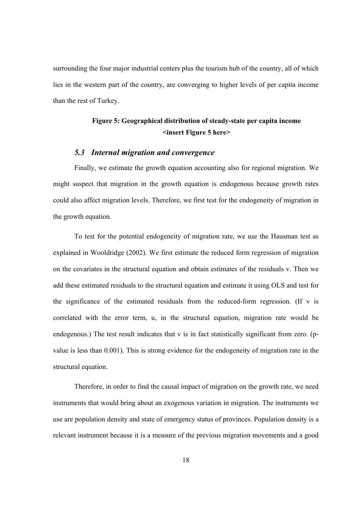surrounding the four major industrial centers plus the tourism hub of the country, all of which lies in the western part of the country, are converging to higher levels of per capita income than the rest of Turkey.

### **Figure 5: Geographical distribution of steady-state per capita income <insert Figure 5 here>**

#### *5.3 Internal migration and convergence*

Finally, we estimate the growth equation accounting also for regional migration. We might suspect that migration in the growth equation is endogenous because growth rates could also affect migration levels. Therefore, we first test for the endogeneity of migration in the growth equation.

To test for the potential endogeneity of migration rate, we use the Hausman test as explained in Wooldridge (2002). We first estimate the reduced form regression of migration on the covariates in the structural equation and obtain estimates of the residuals v. Then we add these estimated residuals to the structural equation and estimate it using OLS and test for the significance of the estimated residuals from the reduced-form regression. (If v is correlated with the error term, u, in the structural equation, migration rate would be endogenous.) The test result indicates that v is in fact statistically significant from zero. (pvalue is less than 0.001). This is strong evidence for the endogeneity of migration rate in the structural equation.

Therefore, in order to find the causal impact of migration on the growth rate, we need instruments that would bring about an exogenous variation in migration. The instruments we use are population density and state of emergency status of provinces. Population density is a relevant instrument because it is a measure of the previous migration movements and a good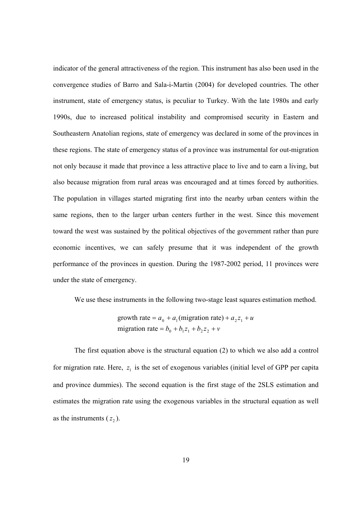indicator of the general attractiveness of the region. This instrument has also been used in the convergence studies of Barro and Sala-i-Martin (2004) for developed countries. The other instrument, state of emergency status, is peculiar to Turkey. With the late 1980s and early 1990s, due to increased political instability and compromised security in Eastern and Southeastern Anatolian regions, state of emergency was declared in some of the provinces in these regions. The state of emergency status of a province was instrumental for out-migration not only because it made that province a less attractive place to live and to earn a living, but also because migration from rural areas was encouraged and at times forced by authorities. The population in villages started migrating first into the nearby urban centers within the same regions, then to the larger urban centers further in the west. Since this movement toward the west was sustained by the political objectives of the government rather than pure economic incentives, we can safely presume that it was independent of the growth performance of the provinces in question. During the 1987-2002 period, 11 provinces were under the state of emergency.

We use these instruments in the following two-stage least squares estimation method.

migration rate =  $b_0 + b_1 z_1 + b_2 z_2 + v$ growth rate =  $a_0 + a_1$  (migration rate) +  $a_2 z_1 + u$ 

The first equation above is the structural equation (2) to which we also add a control for migration rate. Here,  $z_1$  is the set of exogenous variables (initial level of GPP per capita and province dummies). The second equation is the first stage of the 2SLS estimation and estimates the migration rate using the exogenous variables in the structural equation as well as the instruments  $(z_2)$ .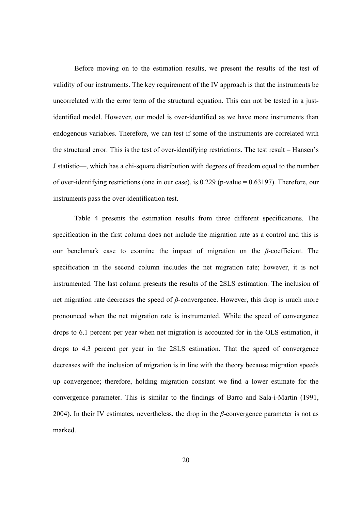Before moving on to the estimation results, we present the results of the test of validity of our instruments. The key requirement of the IV approach is that the instruments be uncorrelated with the error term of the structural equation. This can not be tested in a justidentified model. However, our model is over-identified as we have more instruments than endogenous variables. Therefore, we can test if some of the instruments are correlated with the structural error. This is the test of over-identifying restrictions. The test result – Hansen's J statistic—, which has a chi-square distribution with degrees of freedom equal to the number of over-identifying restrictions (one in our case), is 0.229 (p-value = 0.63197). Therefore, our instruments pass the over-identification test.

Table 4 presents the estimation results from three different specifications. The specification in the first column does not include the migration rate as a control and this is our benchmark case to examine the impact of migration on the *β*-coefficient. The specification in the second column includes the net migration rate; however, it is not instrumented. The last column presents the results of the 2SLS estimation. The inclusion of net migration rate decreases the speed of *β*-convergence. However, this drop is much more pronounced when the net migration rate is instrumented. While the speed of convergence drops to 6.1 percent per year when net migration is accounted for in the OLS estimation, it drops to 4.3 percent per year in the 2SLS estimation. That the speed of convergence decreases with the inclusion of migration is in line with the theory because migration speeds up convergence; therefore, holding migration constant we find a lower estimate for the convergence parameter. This is similar to the findings of Barro and Sala-i-Martin (1991, 2004). In their IV estimates, nevertheless, the drop in the *β*-convergence parameter is not as marked.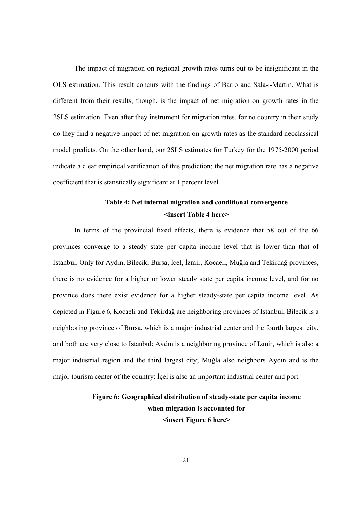The impact of migration on regional growth rates turns out to be insignificant in the OLS estimation. This result concurs with the findings of Barro and Sala-i-Martin. What is different from their results, though, is the impact of net migration on growth rates in the 2SLS estimation. Even after they instrument for migration rates, for no country in their study do they find a negative impact of net migration on growth rates as the standard neoclassical model predicts. On the other hand, our 2SLS estimates for Turkey for the 1975-2000 period indicate a clear empirical verification of this prediction; the net migration rate has a negative coefficient that is statistically significant at 1 percent level.

### **Table 4: Net internal migration and conditional convergence <insert Table 4 here>**

In terms of the provincial fixed effects, there is evidence that 58 out of the 66 provinces converge to a steady state per capita income level that is lower than that of Istanbul. Only for Aydın, Bilecik, Bursa, İçel, İzmir, Kocaeli, Muğla and Tekirdağ provinces, there is no evidence for a higher or lower steady state per capita income level, and for no province does there exist evidence for a higher steady-state per capita income level. As depicted in Figure 6, Kocaeli and Tekirdağ are neighboring provinces of Istanbul; Bilecik is a neighboring province of Bursa, which is a major industrial center and the fourth largest city, and both are very close to Istanbul; Aydın is a neighboring province of Izmir, which is also a major industrial region and the third largest city; Muğla also neighbors Aydın and is the major tourism center of the country; İçel is also an important industrial center and port.

# **Figure 6: Geographical distribution of steady-state per capita income when migration is accounted for <insert Figure 6 here>**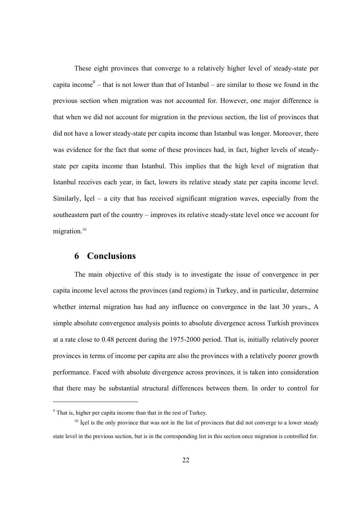These eight provinces that converge to a relatively higher level of steady-state per capita income<sup>9</sup> – that is not lower than that of Istanbul – are similar to those we found in the previous section when migration was not accounted for. However, one major difference is that when we did not account for migration in the previous section, the list of provinces that did not have a lower steady-state per capita income than Istanbul was longer. Moreover, there was evidence for the fact that some of these provinces had, in fact, higher levels of steadystate per capita income than Istanbul. This implies that the high level of migration that Istanbul receives each year, in fact, lowers its relative steady state per capita income level. Similarly, İçel – a city that has received significant migration waves, especially from the southeastern part of the country – improves its relative steady-state level once we account for migration.<sup>10</sup>

### **6 Conclusions**

The main objective of this study is to investigate the issue of convergence in per capita income level across the provinces (and regions) in Turkey, and in particular, determine whether internal migration has had any influence on convergence in the last 30 years., A simple absolute convergence analysis points to absolute divergence across Turkish provinces at a rate close to 0.48 percent during the 1975-2000 period. That is, initially relatively poorer provinces in terms of income per capita are also the provinces with a relatively poorer growth performance. Faced with absolute divergence across provinces, it is taken into consideration that there may be substantial structural differences between them. In order to control for

<sup>&</sup>lt;sup>9</sup> That is, higher per capita income than that in the rest of Turkey.

 $10$  Içel is the only province that was not in the list of provinces that did not converge to a lower steady state level in the previous section, but is in the corresponding list in this section once migration is controlled for.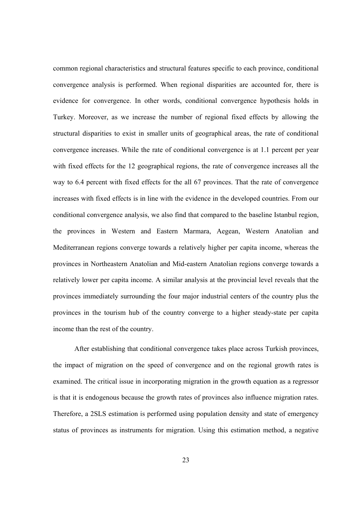common regional characteristics and structural features specific to each province, conditional convergence analysis is performed. When regional disparities are accounted for, there is evidence for convergence. In other words, conditional convergence hypothesis holds in Turkey. Moreover, as we increase the number of regional fixed effects by allowing the structural disparities to exist in smaller units of geographical areas, the rate of conditional convergence increases. While the rate of conditional convergence is at 1.1 percent per year with fixed effects for the 12 geographical regions, the rate of convergence increases all the way to 6.4 percent with fixed effects for the all 67 provinces. That the rate of convergence increases with fixed effects is in line with the evidence in the developed countries. From our conditional convergence analysis, we also find that compared to the baseline Istanbul region, the provinces in Western and Eastern Marmara, Aegean, Western Anatolian and Mediterranean regions converge towards a relatively higher per capita income, whereas the provinces in Northeastern Anatolian and Mid-eastern Anatolian regions converge towards a relatively lower per capita income. A similar analysis at the provincial level reveals that the provinces immediately surrounding the four major industrial centers of the country plus the provinces in the tourism hub of the country converge to a higher steady-state per capita income than the rest of the country.

After establishing that conditional convergence takes place across Turkish provinces, the impact of migration on the speed of convergence and on the regional growth rates is examined. The critical issue in incorporating migration in the growth equation as a regressor is that it is endogenous because the growth rates of provinces also influence migration rates. Therefore, a 2SLS estimation is performed using population density and state of emergency status of provinces as instruments for migration. Using this estimation method, a negative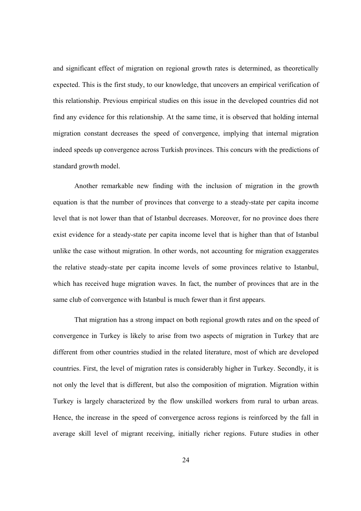and significant effect of migration on regional growth rates is determined, as theoretically expected. This is the first study, to our knowledge, that uncovers an empirical verification of this relationship. Previous empirical studies on this issue in the developed countries did not find any evidence for this relationship. At the same time, it is observed that holding internal migration constant decreases the speed of convergence, implying that internal migration indeed speeds up convergence across Turkish provinces. This concurs with the predictions of standard growth model.

Another remarkable new finding with the inclusion of migration in the growth equation is that the number of provinces that converge to a steady-state per capita income level that is not lower than that of Istanbul decreases. Moreover, for no province does there exist evidence for a steady-state per capita income level that is higher than that of Istanbul unlike the case without migration. In other words, not accounting for migration exaggerates the relative steady-state per capita income levels of some provinces relative to Istanbul, which has received huge migration waves. In fact, the number of provinces that are in the same club of convergence with Istanbul is much fewer than it first appears.

That migration has a strong impact on both regional growth rates and on the speed of convergence in Turkey is likely to arise from two aspects of migration in Turkey that are different from other countries studied in the related literature, most of which are developed countries. First, the level of migration rates is considerably higher in Turkey. Secondly, it is not only the level that is different, but also the composition of migration. Migration within Turkey is largely characterized by the flow unskilled workers from rural to urban areas. Hence, the increase in the speed of convergence across regions is reinforced by the fall in average skill level of migrant receiving, initially richer regions. Future studies in other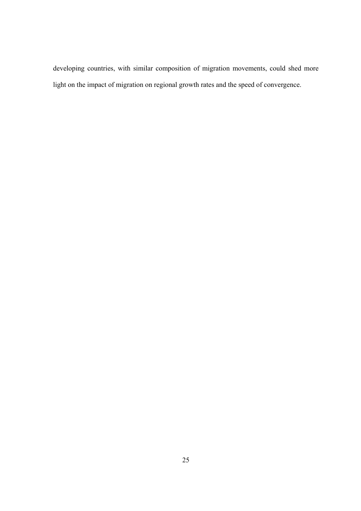developing countries, with similar composition of migration movements, could shed more light on the impact of migration on regional growth rates and the speed of convergence.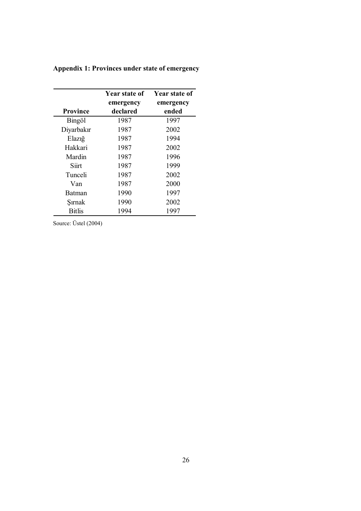| Year state of   |           | Year state of |
|-----------------|-----------|---------------|
|                 | emergency | emergency     |
| <b>Province</b> | declared  | ended         |
| Bingöl          | 1987      | 1997          |
| Diyarbakır      | 1987      | 2002          |
| Elaziğ          | 1987      | 1994          |
| Hakkari         | 1987      | 2002          |
| Mardin          | 1987      | 1996          |
| Siirt           | 1987      | 1999          |
| Tunceli         | 1987      | 2002          |
| Van             | 1987      | 2000          |
| <b>Batman</b>   | 1990      | 1997          |
| Sırnak          | 1990      | 2002          |
| <b>Bitlis</b>   | 1994      | 1997          |

**Appendix 1: Provinces under state of emergency** 

Source: Üstel (2004)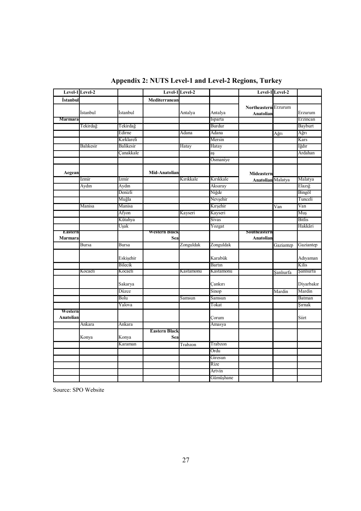|                      | Level-1 Level-2 |            |                      | Level-1 Level-2 |           |                                   | Level-1 Level-2 |               |
|----------------------|-----------------|------------|----------------------|-----------------|-----------|-----------------------------------|-----------------|---------------|
| İstanbul             |                 |            | Mediterranean        |                 |           |                                   |                 |               |
|                      | İstanbul        | İstanbul   |                      | Antalya         | Antalya   | Northeastern Erzurum<br>Anatolian |                 | Erzurum       |
| Marmara              |                 |            |                      |                 | Isparta   |                                   |                 | Erzincan      |
|                      | Tekirdağ        | Tekirdağ   |                      |                 | Burdur    |                                   |                 | Bayburt       |
|                      |                 | Edirne     |                      | Adana           | Adana     |                                   | Ağrı            | Ağrı          |
|                      |                 | Kırklareli |                      |                 | Mersin    |                                   |                 | Kars          |
|                      | Balıkesir       | Balikesir  |                      | Hatay           | Hatay     |                                   |                 | Iğdır         |
|                      |                 | Canakkale  |                      |                 | aș        |                                   |                 | Ardahan       |
|                      |                 |            |                      |                 | Osmaniye  |                                   |                 |               |
| Aegean               |                 |            | Mid-Anatolian        |                 |           | Mideastern                        |                 |               |
|                      | Izmir           | Ízmir      |                      | Kırıkkale       | Kırıkkale | <b>Anatolian</b> Malatya          |                 | Malatya       |
|                      | Aydın           | Aydın      |                      |                 | Aksaray   |                                   |                 | Elazığ        |
|                      |                 | Denizli    |                      |                 | Niğde     |                                   |                 | Bingöl        |
|                      |                 | Muğla      |                      |                 | Nevşehir  |                                   |                 | Tunceli       |
|                      | Manisa          | Manisa     |                      |                 | Kırşehir  |                                   | Van             | Van           |
|                      |                 | Afyon      |                      | Kayseri         | Kayseri   |                                   |                 | Muş           |
|                      |                 | Kütahya    |                      |                 | Sivas     |                                   |                 | <b>Bitlis</b> |
|                      |                 | Uşak       |                      |                 | Yozgat    |                                   |                 | Hakkâri       |
| <b>Lastern</b>       |                 |            | Western Biack        |                 |           | Soutneastern                      |                 |               |
| Marmara              |                 |            | Sea                  |                 |           | Anatolian                         |                 |               |
|                      | <b>Bursa</b>    | Bursa      |                      | Zonguldak       | Zonguldak |                                   | Gaziantep       | Gaziantep     |
|                      |                 | Eskişehir  |                      |                 | Karabük   |                                   |                 | Adıyaman      |
|                      |                 | Bilecik    |                      |                 | Bartin    |                                   |                 | Kilis         |
|                      | Kocaeli         | Kocaeli    |                      | Kastamonu       | Kastamonu |                                   | Sanlıurfa       | Sanlıurfa     |
|                      |                 | Sakarya    |                      |                 | Çankırı   |                                   |                 | Diyarbakır    |
|                      |                 | Düzce      |                      |                 | Sinop     |                                   | Mardin          | Mardin        |
|                      |                 | Bolu       |                      | Samsun          | Samsun    |                                   |                 | Batman        |
|                      |                 | Yalova     |                      |                 | Tokat     |                                   |                 | Şırnak        |
| Western<br>Anatolian |                 |            |                      |                 | Corum     |                                   |                 | Siirt         |
|                      | Ankara          | Ankara     |                      |                 | Amasya    |                                   |                 |               |
|                      |                 |            | <b>Eastern Black</b> |                 |           |                                   |                 |               |
|                      | Konya           | Konya      | Sea                  |                 |           |                                   |                 |               |
|                      |                 | Karaman    |                      | Trabzon         | Trabzon   |                                   |                 |               |
|                      |                 |            |                      |                 | Ordu      |                                   |                 |               |
|                      |                 |            |                      |                 | Giresun   |                                   |                 |               |
|                      |                 |            |                      |                 | Rize      |                                   |                 |               |
|                      |                 |            |                      |                 | Artvin    |                                   |                 |               |
|                      |                 |            |                      |                 | Gümüşhane |                                   |                 |               |

**Appendix 2: NUTS Level-1 and Level-2 Regions, Turkey**

Source: SPO Website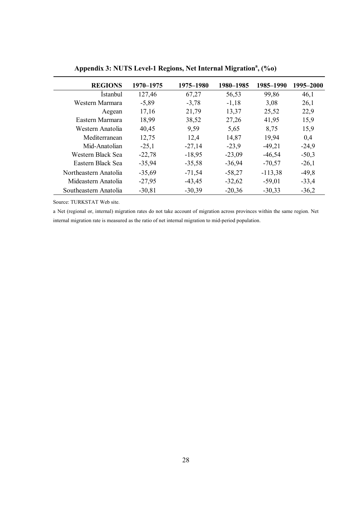| <b>REGIONS</b>        | 1970–1975 | 1975–1980 | 1980–1985 | 1985-1990 | 1995–2000 |
|-----------------------|-----------|-----------|-----------|-----------|-----------|
| <i>Istanbul</i>       | 127,46    | 67,27     | 56,53     | 99,86     | 46,1      |
| Western Marmara       | $-5,89$   | $-3,78$   | $-1,18$   | 3,08      | 26,1      |
| Aegean                | 17,16     | 21,79     | 13,37     | 25,52     | 22,9      |
| Eastern Marmara       | 18,99     | 38,52     | 27,26     | 41,95     | 15,9      |
| Western Anatolia      | 40,45     | 9.59      | 5,65      | 8,75      | 15,9      |
| Mediterranean         | 12,75     | 12,4      | 14,87     | 19,94     | 0.4       |
| Mid-Anatolian         | $-25,1$   | $-27,14$  | $-23,9$   | $-49,21$  | $-24,9$   |
| Western Black Sea     | $-22,78$  | $-18,95$  | $-23,09$  | $-46,54$  | $-50,3$   |
| Eastern Black Sea     | $-35,94$  | $-35,58$  | $-36,94$  | $-70,57$  | $-26,1$   |
| Northeastern Anatolia | $-35,69$  | $-71,54$  | $-58,27$  | $-113,38$ | $-49.8$   |
| Mideastern Anatolia   | $-27,95$  | $-43,45$  | $-32,62$  | $-59,01$  | $-33,4$   |
| Southeastern Anatolia | $-30,81$  | $-30,39$  | $-20,36$  | $-30,33$  | $-36,2$   |

**Appendix 3: NUTS Level-1 Regions, Net Internal Migration<sup>a</sup> , (%o)** 

Source: TURKSTAT Web site.

a Net (regional or, internal) migration rates do not take account of migration across provinces within the same region. Net internal migration rate is measured as the ratio of net internal migration to mid-period population.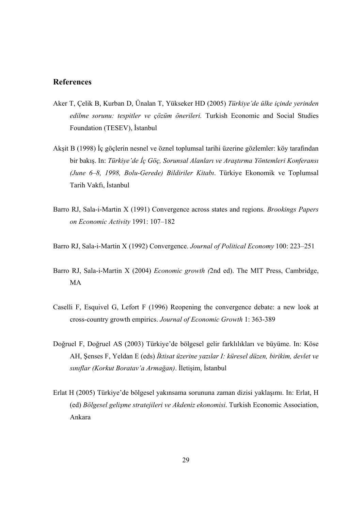#### **References**

- Aker T, Çelik B, Kurban D, Ünalan T, Yükseker HD (2005) *Türkiye'de ülke içinde yerinden edilme sorunu: tespitler ve çözüm önerileri.* Turkish Economic and Social Studies Foundation (TESEV), İstanbul
- Akşit B (1998) İç göçlerin nesnel ve öznel toplumsal tarihi üzerine gözlemler: köy tarafından bir bakış. In: *Türkiye'de İç Göç, Sorunsal Alanları ve Araştırma Yöntemleri Konferansı (June 6–8, 1998, Bolu-Gerede) Bildiriler Kitabı*. Türkiye Ekonomik ve Toplumsal Tarih Vakfı, İstanbul
- Barro RJ, Sala-i-Martin X (1991) Convergence across states and regions. *Brookings Papers on Economic Activity* 1991: 107–182
- Barro RJ, Sala-i-Martin X (1992) Convergence. *Journal of Political Economy* 100: 223–251
- Barro RJ, Sala-i-Martin X (2004) *Economic growth (*2nd ed). The MIT Press, Cambridge, MA
- Caselli F, Esquivel G, Lefort F (1996) Reopening the convergence debate: a new look at cross-country growth empirics. *Journal of Economic Growth* 1: 363-389
- Doğruel F, Doğruel AS (2003) Türkiye'de bölgesel gelir farklılıkları ve büyüme. In: Köse AH, Şenses F, Yeldan E (eds) *İktisat üzerine yazılar I: küresel düzen, birikim, devlet ve sınıflar (Korkut Boratav'a Armağan)*. İletişim, İstanbul
- Erlat H (2005) Türkiye'de bölgesel yakınsama sorununa zaman dizisi yaklaşımı. In: Erlat, H (ed) *Bölgesel gelişme stratejileri ve Akdeniz ekonomisi*. Turkish Economic Association, Ankara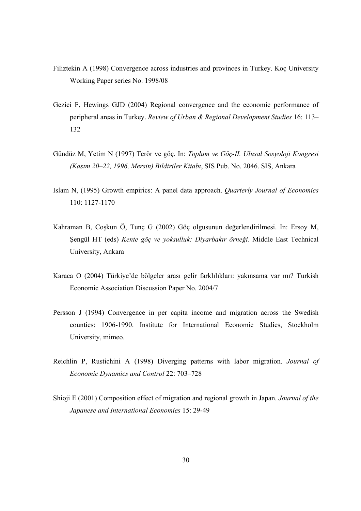- Filiztekin A (1998) Convergence across industries and provinces in Turkey. Koç University Working Paper series No. 1998/08
- Gezici F, Hewings GJD (2004) Regional convergence and the economic performance of peripheral areas in Turkey. *Review of Urban & Regional Development Studies* 16: 113– 132
- Gündüz M, Yetim N (1997) Terör ve göç. In: *Toplum ve Göç-II. Ulusal Sosyoloji Kongresi (Kasım 20–22, 1996, Mersin) Bildiriler Kitabı*, SIS Pub. No. 2046. SIS, Ankara
- Islam N, (1995) Growth empirics: A panel data approach. *Quarterly Journal of Economics* 110: 1127-1170
- Kahraman B, Coşkun Ö, Tunç G (2002) Göç olgusunun değerlendirilmesi. In: Ersoy M, Şengül HT (eds) *Kente göç ve yoksulluk: Diyarbakır örneği*. Middle East Technical University, Ankara
- Karaca O (2004) Türkiye'de bölgeler arası gelir farklılıkları: yakınsama var mı? Turkish Economic Association Discussion Paper No. 2004/7
- Persson J (1994) Convergence in per capita income and migration across the Swedish counties: 1906-1990. Institute for International Economic Studies, Stockholm University, mimeo.
- Reichlin P, Rustichini A (1998) Diverging patterns with labor migration. *Journal of Economic Dynamics and Control* 22: 703–728
- Shioji E (2001) Composition effect of migration and regional growth in Japan. *Journal of the Japanese and International Economies* 15: 29-49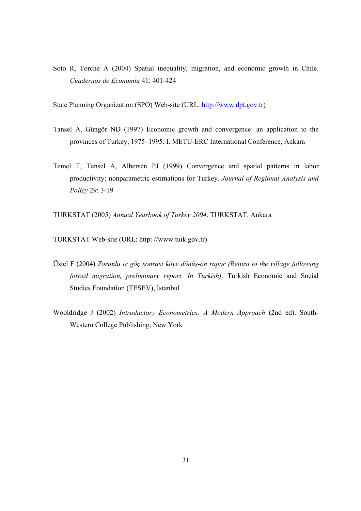Soto R, Torche A (2004) Spatial inequality, migration, and economic growth in Chile. *Cuadernos de Economia* 41: 401-424

State Planning Organization (SPO) Web-site (URL: http://www.dpt.gov.tr)

- Tansel A, Güngör ND (1997) Economic growth and convergence: an application to the provinces of Turkey, 1975–1995. I. METU-ERC International Conference, Ankara
- Temel T, Tansel A, Albersen PJ (1999) Convergence and spatial patterns in labor productivity: nonparametric estimations for Turkey. *Journal of Regional Analysis and Policy* 29: 3-19

TURKSTAT (2005) *Annual Yearbook of Turkey 2004*. TURKSTAT, Ankara

TURKSTAT Web-site (URL: http: //www.tuik.gov.tr)

- Üstel F (2004) *Zorunlu iç göç sonrası köye dönüş-ön rapor (Return to the village following forced migration, preliminary report. In Turkish)*. Turkish Economic and Social Studies Foundation (TESEV), İstanbul
- Wooldridge J (2002) *Introductory Econometrics: A Modern Approach* (2nd ed). South-Western College Publishing, New York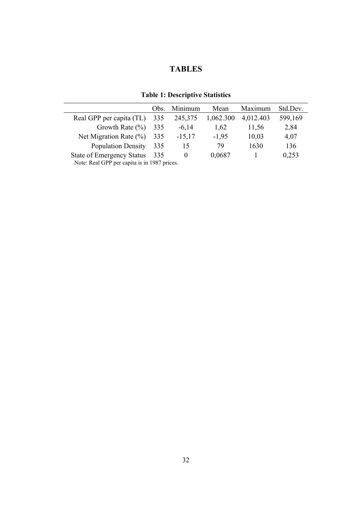### **TABLES**

|                                              | Obs. | Minimum  | Mean      | Maximum   | Std.Dev. |
|----------------------------------------------|------|----------|-----------|-----------|----------|
| Real GPP per capita (TL)                     | 335  | 245,375  | 1,062.300 | 4,012.403 | 599,169  |
| Growth Rate $(\% )$                          | 335  | $-6,14$  | 1,62      | 11,56     | 2,84     |
| Net Migration Rate $(\%)$                    | 335  | $-15,17$ | $-1,95$   | 10,03     | 4,07     |
| <b>Population Density</b>                    | 335  | 15       | 79        | 1630      | 136      |
| <b>State of Emergency Status</b>             | 335  | $\theta$ | 0,0687    |           | 0,253    |
| Note: Real GPP per capita is in 1987 prices. |      |          |           |           |          |

**Table 1: Descriptive Statistics** 

Note: Real GPP per capita is in 1987 prices.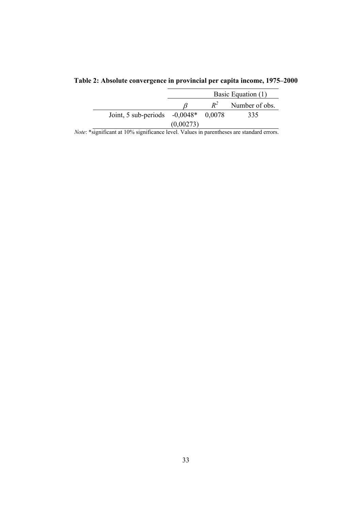|                                        | Basic Equation (1) |       |                |  |  |
|----------------------------------------|--------------------|-------|----------------|--|--|
|                                        |                    | $R^2$ | Number of obs. |  |  |
| Joint, 5 sub-periods $-0,0048*$ 0.0078 |                    |       | 335            |  |  |
|                                        | (0.00273)          |       |                |  |  |

**Table 2: Absolute convergence in provincial per capita income, 1975–2000**

*Note*: \*significant at 10% significance level. Values in parentheses are standard errors.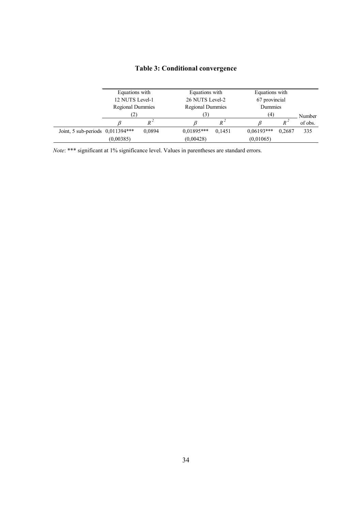|                                    | Equations with          |        | Equations with          |                | Equations with |        |         |
|------------------------------------|-------------------------|--------|-------------------------|----------------|----------------|--------|---------|
|                                    | 12 NUTS Level-1         |        | 26 NUTS Level-2         |                | 67 provincial  |        |         |
|                                    | <b>Regional Dummies</b> |        | <b>Regional Dummies</b> |                | Dummies        |        |         |
|                                    | (2)                     |        | (3)                     |                | (4)            |        | Number  |
|                                    |                         |        |                         | $R^{\,\prime}$ |                | $R^2$  | of obs. |
| Joint, 5 sub-periods $0,011394***$ |                         | 0,0894 | $0.01895***$            | 0.1451         | $0.06193***$   | 0.2687 | 335     |
|                                    | (0.00385)               |        | (0,00428)               |                | (0,01065)      |        |         |

# **Table 3: Conditional convergence**

*Note*: \*\*\* significant at 1% significance level. Values in parentheses are standard errors.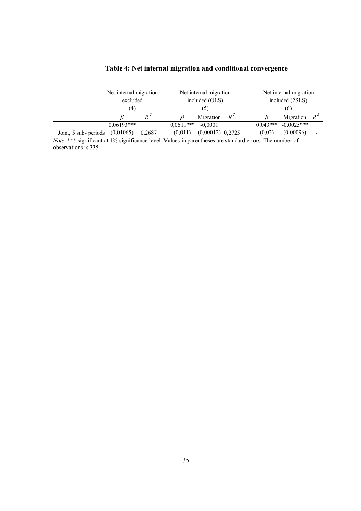|                       | Net internal migration<br>excluded<br>(4) |        |             | Net internal migration<br>included (OLS) |       |            | Net internal migration<br>included (2SLS) |   |  |
|-----------------------|-------------------------------------------|--------|-------------|------------------------------------------|-------|------------|-------------------------------------------|---|--|
|                       |                                           |        |             | $\mathcal{L}$                            |       | (6)        |                                           |   |  |
|                       |                                           | $R^4$  |             | Migration                                | $R^4$ |            | Migration $R^2$                           |   |  |
|                       | $0.06193***$                              |        | $0.0611***$ | $-0.0001$                                |       | $0.043***$ | $-0.0025***$                              |   |  |
| Joint, 5 sub- periods | (0,01065)                                 | 0,2687 | (0.011)     | $(0,00012)$ 0,2725                       |       | (0,02)     | (0,00096)                                 | ۰ |  |

### **Table 4: Net internal migration and conditional convergence**

*Note*: \*\*\* significant at 1% significance level. Values in parentheses are standard errors. The number of observations is 335.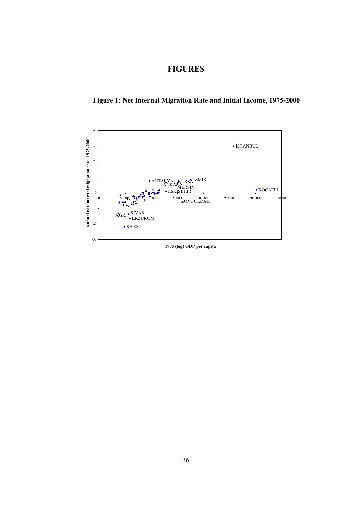### **FIGURES**



**Figure 1: Net Internal Migration Rate and Initial Income, 1975-2000** 

**1975 (log) GDP per capita**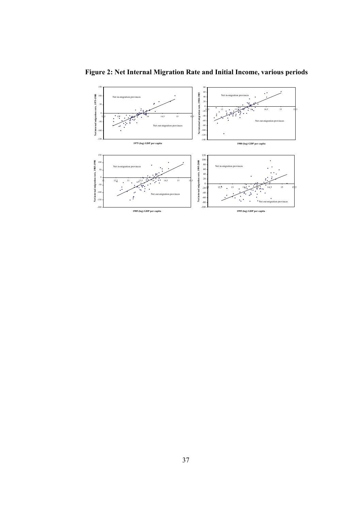

**Figure 2: Net Internal Migration Rate and Initial Income, various periods**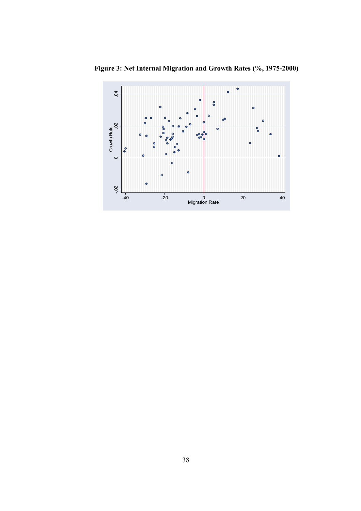

**Figure 3: Net Internal Migration and Growth Rates (%, 1975-2000)**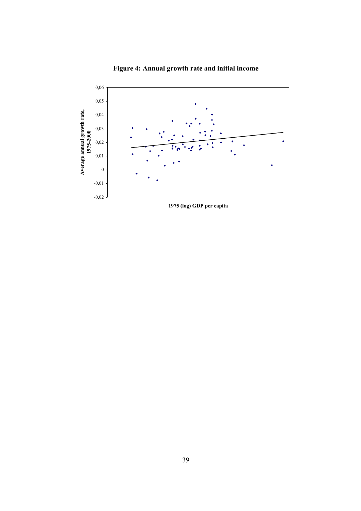

**Figure 4: Annual growth rate and initial income** 

**1975 (log) GDP per capita**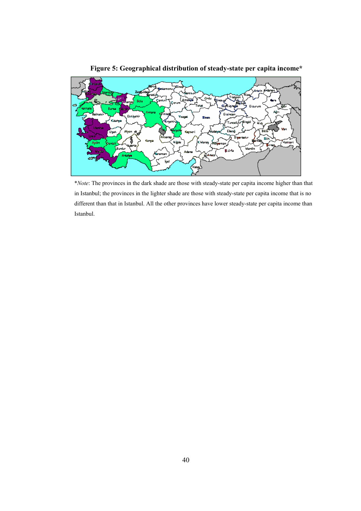

**Figure 5: Geographical distribution of steady-state per capita income\*** 

\**Note*: The provinces in the dark shade are those with steady-state per capita income higher than that in Istanbul; the provinces in the lighter shade are those with steady-state per capita income that is no different than that in Istanbul. All the other provinces have lower steady-state per capita income than Istanbul.